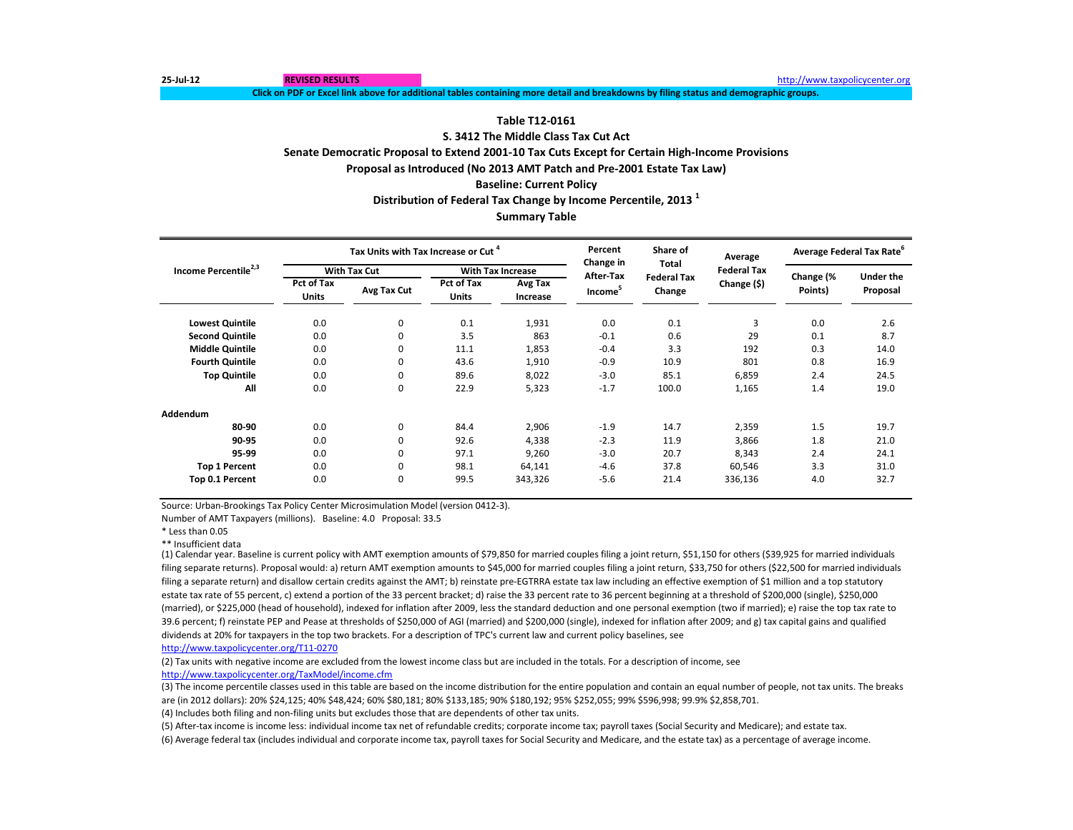**25-Jul-12 REVISED RESULTS** [http://www.ta](http://www.taxpolicycenter.org/)xpolicycenter.org

**Click on PDF or Excel link above for additional tables containing more detail and breakdowns by filing status and demographic groups.**

### **Table T12-0161**

### **S. 3412 The Middle Class Tax Cut Act**

**Senate Democratic Proposal to Extend 2001-10 Tax Cuts Except for Certain High-Income Provisions**

**Proposal as Introduced (No 2013 AMT Patch and Pre-2001 Estate Tax Law)**

**Baseline: Current Policy**

**Distribution of Federal Tax Change by Income Percentile, 2013 <sup>1</sup>**

### **Summary Table**

|                                  |                                   | Tax Units with Tax Increase or Cut <sup>4</sup> |                            |                            | Percent<br>Change in | Share of<br><b>Total</b>     | Average            | Average Federal Tax Rate <sup>o</sup> |                              |
|----------------------------------|-----------------------------------|-------------------------------------------------|----------------------------|----------------------------|----------------------|------------------------------|--------------------|---------------------------------------|------------------------------|
| Income Percentile <sup>2,3</sup> |                                   | <b>With Tax Cut</b>                             |                            | <b>With Tax Increase</b>   | After-Tax            |                              | <b>Federal Tax</b> |                                       |                              |
|                                  | <b>Pct of Tax</b><br><b>Units</b> | Avg Tax Cut                                     | Pct of Tax<br><b>Units</b> | <b>Avg Tax</b><br>Increase | Income <sup>5</sup>  | <b>Federal Tax</b><br>Change | Change (\$)        | Change (%<br>Points)                  | <b>Under the</b><br>Proposal |
| <b>Lowest Quintile</b>           | 0.0                               | 0                                               | 0.1                        | 1,931                      | 0.0                  | 0.1                          | 3                  | 0.0                                   | 2.6                          |
| <b>Second Quintile</b>           | 0.0                               | 0                                               | 3.5                        | 863                        | $-0.1$               | 0.6                          | 29                 | 0.1                                   | 8.7                          |
| <b>Middle Quintile</b>           | 0.0                               | 0                                               | 11.1                       | 1,853                      | $-0.4$               | 3.3                          | 192                | 0.3                                   | 14.0                         |
| <b>Fourth Quintile</b>           | 0.0                               | 0                                               | 43.6                       | 1,910                      | $-0.9$               | 10.9                         | 801                | 0.8                                   | 16.9                         |
| <b>Top Quintile</b>              | 0.0                               | 0                                               | 89.6                       | 8,022                      | $-3.0$               | 85.1                         | 6,859              | 2.4                                   | 24.5                         |
| All                              | 0.0                               | 0                                               | 22.9                       | 5,323                      | $-1.7$               | 100.0                        | 1,165              | 1.4                                   | 19.0                         |
| <b>Addendum</b>                  |                                   |                                                 |                            |                            |                      |                              |                    |                                       |                              |
| 80-90                            | 0.0                               | 0                                               | 84.4                       | 2,906                      | $-1.9$               | 14.7                         | 2,359              | 1.5                                   | 19.7                         |
| 90-95                            | 0.0                               | 0                                               | 92.6                       | 4,338                      | $-2.3$               | 11.9                         | 3,866              | 1.8                                   | 21.0                         |
| 95-99                            | 0.0                               | 0                                               | 97.1                       | 9,260                      | $-3.0$               | 20.7                         | 8,343              | 2.4                                   | 24.1                         |
| <b>Top 1 Percent</b>             | 0.0                               | 0                                               | 98.1                       | 64,141                     | $-4.6$               | 37.8                         | 60,546             | 3.3                                   | 31.0                         |
| Top 0.1 Percent                  | 0.0                               | 0                                               | 99.5                       | 343,326                    | $-5.6$               | 21.4                         | 336,136            | 4.0                                   | 32.7                         |

Source: Urban-Brookings Tax Policy Center Microsimulation Model (version 0412-3).

Number of AMT Taxpayers (millions). Baseline: 4.0 Proposal: 33.5

\* Less than 0.05

\*\* Insufficient data

(1) Calendar year. Baseline is current policy with AMT exemption amounts of \$79,850 for married couples filing a joint return, \$51,150 for others (\$39,925 for married individuals filing separate returns). Proposal would: a) return AMT exemption amounts to \$45,000 for married couples filing a joint return, \$33,750 for others (\$22,500 for married individuals filing a separate return) and disallow certain credits against the AMT; b) reinstate pre-EGTRRA estate tax law including an effective exemption of \$1 million and a top statutory estate tax rate of 55 percent, c) extend a portion of the 33 percent bracket; d) raise the 33 percent rate to 36 percent beginning at a threshold of \$200,000 (single), \$250,000 (married), or \$225,000 (head of household), indexed for inflation after 2009, less the standard deduction and one personal exemption (two if married); e) raise the top tax rate to 39.6 percent; f) reinstate PEP and Pease at thresholds of \$250,000 of AGI (married) and \$200,000 (single), indexed for inflation after 2009; and g) tax capital gains and qualified dividends at 20% for taxpayers in the top two brackets. For a description of TPC's current law and current policy baselines, see

[http://www.taxpolicycente](http://www.taxpolicycenter.org/T11-0270)r.org/T11-0270

(2) Tax units with negative income are excluded from the lowest income class but are included in the totals. For a description of income, see [http://www.taxpolicycente](http://www.taxpolicycenter.org/TaxModel/income.cfm)r.org/TaxModel/income.cfm

(3) The income percentile classes used in this table are based on the income distribution for the entire population and contain an equal number of people, not tax units. The breaks are (in 2012 dollars): 20% \$24,125; 40% \$48,424; 60% \$80,181; 80% \$133,185; 90% \$180,192; 95% \$252,055; 99% \$596,998; 99.9% \$2,858,701.

(4) Includes both filing and non-filing units but excludes those that are dependents of other tax units.

(5) After-tax income is income less: individual income tax net of refundable credits; corporate income tax; payroll taxes (Social Security and Medicare); and estate tax.

(6) Average federal tax (includes individual and corporate income tax, payroll taxes for Social Security and Medicare, and the estate tax) as a percentage of average income.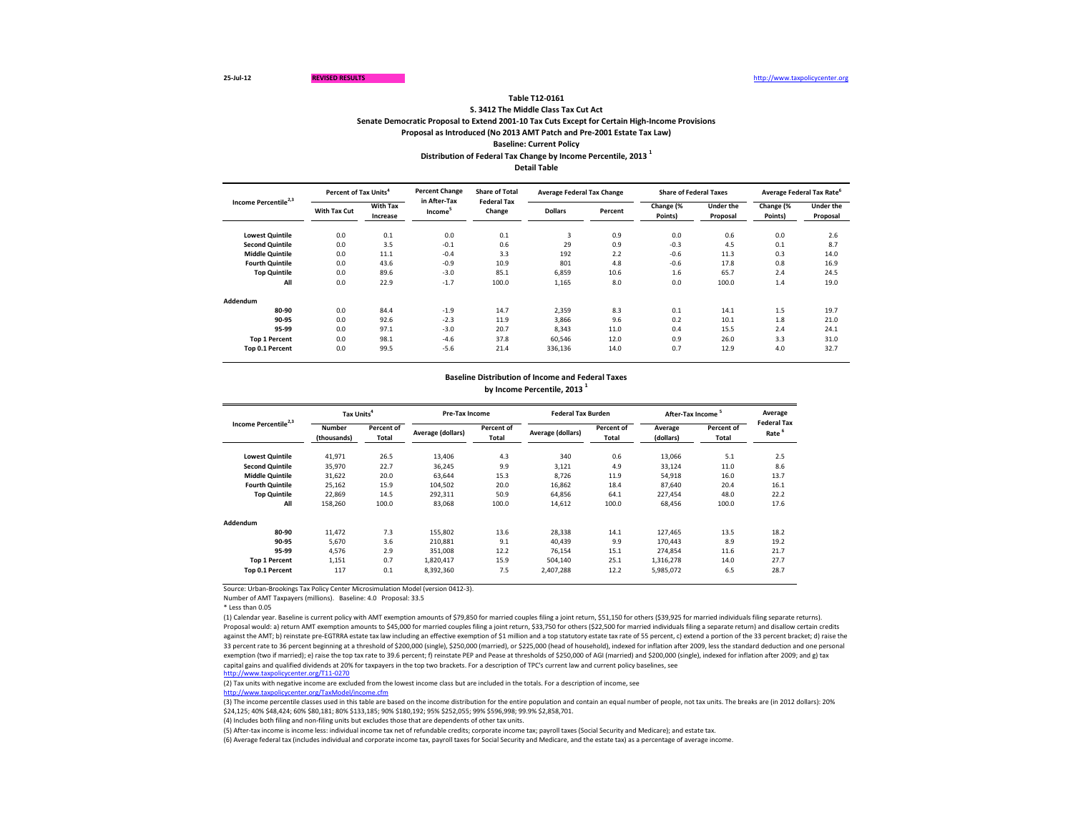|                                  |                     | Percent of Tax Units <sup>4</sup> |                                     | <b>Percent Change</b><br><b>Share of Total</b> | <b>Average Federal Tax Change</b> |         | <b>Share of Federal Taxes</b> |                              | Average Federal Tax Rate <sup>o</sup> |                              |
|----------------------------------|---------------------|-----------------------------------|-------------------------------------|------------------------------------------------|-----------------------------------|---------|-------------------------------|------------------------------|---------------------------------------|------------------------------|
| Income Percentile <sup>2,3</sup> | <b>With Tax Cut</b> | <b>With Tax</b><br>Increase       | in After-Tax<br>Income <sup>3</sup> | <b>Federal Tax</b><br>Change                   | <b>Dollars</b>                    | Percent | Change (%<br>Points)          | <b>Under the</b><br>Proposal | Change (%<br>Points)                  | <b>Under the</b><br>Proposal |
| <b>Lowest Quintile</b>           | 0.0                 | 0.1                               | 0.0                                 | 0.1                                            | 3                                 | 0.9     | 0.0                           | 0.6                          | 0.0                                   | 2.6                          |
| <b>Second Quintile</b>           | 0.0                 | 3.5                               | $-0.1$                              | 0.6                                            | 29                                | 0.9     | $-0.3$                        | 4.5                          | 0.1                                   | 8.7                          |
| <b>Middle Quintile</b>           | 0.0                 | 11.1                              | $-0.4$                              | 3.3                                            | 192                               | 2.2     | $-0.6$                        | 11.3                         | 0.3                                   | 14.0                         |
| <b>Fourth Quintile</b>           | 0.0                 | 43.6                              | $-0.9$                              | 10.9                                           | 801                               | 4.8     | $-0.6$                        | 17.8                         | 0.8                                   | 16.9                         |
| <b>Top Quintile</b>              | 0.0                 | 89.6                              | $-3.0$                              | 85.1                                           | 6,859                             | 10.6    | 1.6                           | 65.7                         | 2.4                                   | 24.5                         |
| All                              | 0.0                 | 22.9                              | $-1.7$                              | 100.0                                          | 1,165                             | 8.0     | 0.0                           | 100.0                        | 1.4                                   | 19.0                         |
| <b>Addendum</b>                  |                     |                                   |                                     |                                                |                                   |         |                               |                              |                                       |                              |
| 80-90                            | 0.0                 | 84.4                              | $-1.9$                              | 14.7                                           | 2,359                             | 8.3     | 0.1                           | 14.1                         | 1.5                                   | 19.7                         |
| 90-95                            | 0.0                 | 92.6                              | $-2.3$                              | 11.9                                           | 3,866                             | 9.6     | 0.2                           | 10.1                         | 1.8                                   | 21.0                         |
| 95-99                            | 0.0                 | 97.1                              | $-3.0$                              | 20.7                                           | 8,343                             | 11.0    | 0.4                           | 15.5                         | 2.4                                   | 24.1                         |
| <b>Top 1 Percent</b>             | 0.0                 | 98.1                              | $-4.6$                              | 37.8                                           | 60,546                            | 12.0    | 0.9                           | 26.0                         | 3.3                                   | 31.0                         |
| Top 0.1 Percent                  | 0.0                 | 99.5                              | $-5.6$                              | 21.4                                           | 336,136                           | 14.0    | 0.7                           | 12.9                         | 4.0                                   | 32.7                         |

\* Less than 0.05

**Distribution of Federal Tax Change by Income Percentile, 2013 <sup>1</sup>**

**Detail Table**

# **Table T12-0161**

|                                  | Tax Units <sup>4</sup>       |                     | <b>Pre-Tax Income</b> |                                   | <b>Federal Tax Burden</b> |                                   | After-Tax Income <sup>5</sup> |                     | Average<br><b>Federal Tax</b> |
|----------------------------------|------------------------------|---------------------|-----------------------|-----------------------------------|---------------------------|-----------------------------------|-------------------------------|---------------------|-------------------------------|
| Income Percentile <sup>2,3</sup> | <b>Number</b><br>(thousands) | Percent of<br>Total | Average (dollars)     | <b>Percent of</b><br><b>Total</b> | Average (dollars)         | <b>Percent of</b><br><b>Total</b> | Average<br>(dollars)          | Percent of<br>Total | Rate                          |
| <b>Lowest Quintile</b>           | 41,971                       | 26.5                | 13,406                | 4.3                               | 340                       | 0.6                               | 13,066                        | 5.1                 | 2.5                           |
| <b>Second Quintile</b>           | 35,970                       | 22.7                | 36,245                | 9.9                               | 3,121                     | 4.9                               | 33,124                        | 11.0                | 8.6                           |
| <b>Middle Quintile</b>           | 31,622                       | 20.0                | 63,644                | 15.3                              | 8,726                     | 11.9                              | 54,918                        | 16.0                | 13.7                          |
| <b>Fourth Quintile</b>           | 25,162                       | 15.9                | 104,502               | 20.0                              | 16,862                    | 18.4                              | 87,640                        | 20.4                | 16.1                          |
| <b>Top Quintile</b>              | 22,869                       | 14.5                | 292,311               | 50.9                              | 64,856                    | 64.1                              | 227,454                       | 48.0                | 22.2                          |
| All                              | 158,260                      | 100.0               | 83,068                | 100.0                             | 14,612                    | 100.0                             | 68,456                        | 100.0               | 17.6                          |
| Addendum                         |                              |                     |                       |                                   |                           |                                   |                               |                     |                               |
| 80-90                            | 11,472                       | 7.3                 | 155,802               | 13.6                              | 28,338                    | 14.1                              | 127,465                       | 13.5                | 18.2                          |
| 90-95                            | 5,670                        | 3.6                 | 210,881               | 9.1                               | 40,439                    | 9.9                               | 170,443                       | 8.9                 | 19.2                          |
| 95-99                            | 4,576                        | 2.9                 | 351,008               | 12.2                              | 76,154                    | 15.1                              | 274,854                       | 11.6                | 21.7                          |
| <b>Top 1 Percent</b>             | 1,151                        | 0.7                 | 1,820,417             | 15.9                              | 504,140                   | 25.1                              | 1,316,278                     | 14.0                | 27.7                          |
| Top 0.1 Percent                  | 117                          | 0.1                 | 8,392,360             | 7.5                               | 2,407,288                 | 12.2                              | 5,985,072                     | 6.5                 | 28.7                          |

**S. 3412 The Middle Class Tax Cut Act**

**Senate Democratic Proposal to Extend 2001-10 Tax Cuts Except for Certain High-Income Provisions**

**Proposal as Introduced (No 2013 AMT Patch and Pre-2001 Estate Tax Law)**

**Baseline: Current Policy**

# **Baseline Distribution of Income and Federal Taxes by Income Percentile, 2013 <sup>1</sup>**

(3) The income percentile classes used in this table are based on the income distribution for the entire population and contain an equal number of people, not tax units. The breaks are (in 2012 dollars): 20% \$24,125; 40% \$48,424; 60% \$80,181; 80% \$133,185; 90% \$180,192; 95% \$252,055; 99% \$596,998; 99.9% \$2,858,701.

(4) Includes both filing and non-filing units but excludes those that are dependents of other tax units.

(5) After-tax income is income less: individual income tax net of refundable credits; corporate income tax; payroll taxes (Social Security and Medicare); and estate tax. (6) Average federal tax (includes individual and corporate income tax, payroll taxes for Social Security and Medicare, and the estate tax) as a percentage of average income.

(1) Calendar year. Baseline is current policy with AMT exemption amounts of \$79,850 for married couples filing a joint return, \$51,150 for others (\$39,925 for married individuals filing separate returns). Proposal would: a) return AMT exemption amounts to \$45,000 for married couples filing a joint return, \$33,750 for others (\$22,500 for married individuals filing a separate return) and disallow certain credits against the AMT; b) reinstate pre-EGTRRA estate tax law including an effective exemption of \$1 million and a top statutory estate tax rate of 55 percent, c) extend a portion of the 33 percent bracket; d) raise the 33 percent rate to 36 percent beginning at a threshold of \$200,000 (single), \$250,000 (married), or \$225,000 (head of household), indexed for inflation after 2009, less the standard deduction and one personal exemption (two if married); e) raise the top tax rate to 39.6 percent; f) reinstate PEP and Pease at thresholds of \$250,000 of AGI (married) and \$200,000 (single), indexed for inflation after 2009; and g) tax capital gains and qualified dividends at 20% for taxpayers in the top two brackets. For a description of TPC's current law and current policy baselines, see [http://www.taxpolicycente](http://www.taxpolicycenter.org/T11-0270)r.org/T11-0270

Number of AMT Taxpayers (millions). Baseline: 4.0 Proposal: 33.5

(2) Tax units with negative income are excluded from the lowest income class but are included in the totals. For a description of income, see [http://www.taxpolicycente](http://www.taxpolicycenter.org/TaxModel/income.cfm)r.org/TaxModel/income.cfm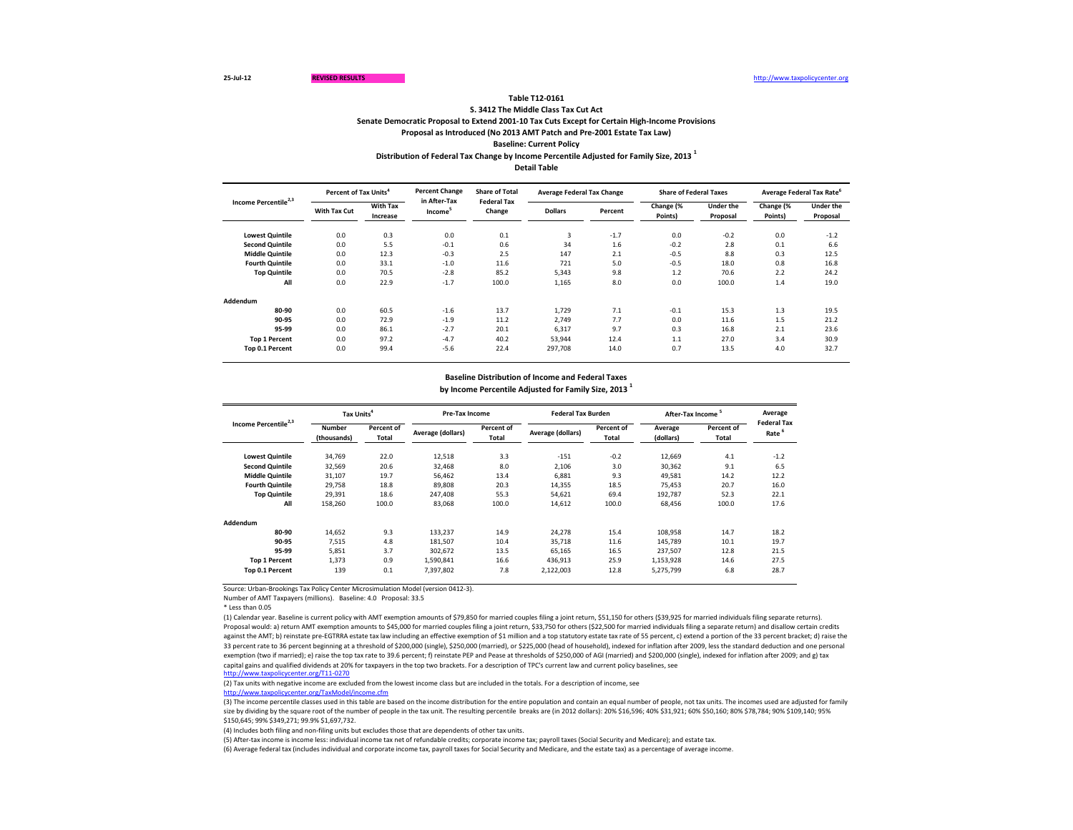| Income Percentile <sup>2,3</sup> | Percent of Tax Units <sup>4</sup> |                             | <b>Percent Change</b>               | <b>Share of Total</b><br><b>Federal Tax</b> | <b>Average Federal Tax Change</b> |         | <b>Share of Federal Taxes</b> |                              | Average Federal Tax Rate <sup>o</sup> |                              |
|----------------------------------|-----------------------------------|-----------------------------|-------------------------------------|---------------------------------------------|-----------------------------------|---------|-------------------------------|------------------------------|---------------------------------------|------------------------------|
|                                  | <b>With Tax Cut</b>               | <b>With Tax</b><br>Increase | in After-Tax<br>Income <sup>5</sup> | Change                                      | <b>Dollars</b>                    | Percent | Change (%<br>Points)          | <b>Under the</b><br>Proposal | Change (%<br>Points)                  | <b>Under the</b><br>Proposal |
| <b>Lowest Quintile</b>           | 0.0                               | 0.3                         | 0.0                                 | 0.1                                         | 3                                 | $-1.7$  | 0.0                           | $-0.2$                       | 0.0                                   | $-1.2$                       |
| <b>Second Quintile</b>           | 0.0                               | 5.5                         | $-0.1$                              | 0.6                                         | 34                                | 1.6     | $-0.2$                        | 2.8                          | 0.1                                   | 6.6                          |
| <b>Middle Quintile</b>           | 0.0                               | 12.3                        | $-0.3$                              | 2.5                                         | 147                               | 2.1     | $-0.5$                        | 8.8                          | 0.3                                   | 12.5                         |
| <b>Fourth Quintile</b>           | 0.0                               | 33.1                        | $-1.0$                              | 11.6                                        | 721                               | 5.0     | $-0.5$                        | 18.0                         | 0.8                                   | 16.8                         |
| <b>Top Quintile</b>              | 0.0                               | 70.5                        | $-2.8$                              | 85.2                                        | 5,343                             | 9.8     | 1.2                           | 70.6                         | 2.2                                   | 24.2                         |
| All                              | 0.0                               | 22.9                        | $-1.7$                              | 100.0                                       | 1,165                             | 8.0     | 0.0                           | 100.0                        | 1.4                                   | 19.0                         |
| Addendum                         |                                   |                             |                                     |                                             |                                   |         |                               |                              |                                       |                              |
| 80-90                            | 0.0                               | 60.5                        | $-1.6$                              | 13.7                                        | 1,729                             | 7.1     | $-0.1$                        | 15.3                         | 1.3                                   | 19.5                         |
| 90-95                            | 0.0                               | 72.9                        | $-1.9$                              | 11.2                                        | 2,749                             | 7.7     | 0.0                           | 11.6                         | 1.5                                   | 21.2                         |
| 95-99                            | 0.0                               | 86.1                        | $-2.7$                              | 20.1                                        | 6,317                             | 9.7     | 0.3                           | 16.8                         | 2.1                                   | 23.6                         |
| <b>Top 1 Percent</b>             | 0.0                               | 97.2                        | $-4.7$                              | 40.2                                        | 53,944                            | 12.4    | 1.1                           | 27.0                         | 3.4                                   | 30.9                         |
| Top 0.1 Percent                  | 0.0                               | 99.4                        | $-5.6$                              | 22.4                                        | 297,708                           | 14.0    | 0.7                           | 13.5                         | 4.0                                   | 32.7                         |

\* Less than 0.05

**Distribution of Federal Tax Change by Income Percentile Adjusted for Family Size, 2013 <sup>1</sup>**

**Detail Table**

## **Table T12-0161**

| Income Percentile <sup>2,3</sup> |                              | Tax Units <sup>4</sup> |                   | <b>Pre-Tax Income</b>      |                   | <b>Federal Tax Burden</b>  | After-Tax Income <sup>5</sup> |                            | Average<br><b>Federal Tax</b> |
|----------------------------------|------------------------------|------------------------|-------------------|----------------------------|-------------------|----------------------------|-------------------------------|----------------------------|-------------------------------|
|                                  | <b>Number</b><br>(thousands) | Percent of<br>Total    | Average (dollars) | Percent of<br><b>Total</b> | Average (dollars) | Percent of<br><b>Total</b> | Average<br>(dollars)          | <b>Percent of</b><br>Total | Rate <sup>6</sup>             |
| <b>Lowest Quintile</b>           | 34,769                       | 22.0                   | 12,518            | 3.3                        | $-151$            | $-0.2$                     | 12,669                        | 4.1                        | $-1.2$                        |
| <b>Second Quintile</b>           | 32,569                       | 20.6                   | 32,468            | 8.0                        | 2,106             | 3.0                        | 30,362                        | 9.1                        | 6.5                           |
| <b>Middle Quintile</b>           | 31,107                       | 19.7                   | 56,462            | 13.4                       | 6,881             | 9.3                        | 49,581                        | 14.2                       | 12.2                          |
| <b>Fourth Quintile</b>           | 29,758                       | 18.8                   | 89,808            | 20.3                       | 14,355            | 18.5                       | 75,453                        | 20.7                       | 16.0                          |
| <b>Top Quintile</b>              | 29,391                       | 18.6                   | 247,408           | 55.3                       | 54,621            | 69.4                       | 192,787                       | 52.3                       | 22.1                          |
| All                              | 158,260                      | 100.0                  | 83,068            | 100.0                      | 14,612            | 100.0                      | 68,456                        | 100.0                      | 17.6                          |
| <b>Addendum</b>                  |                              |                        |                   |                            |                   |                            |                               |                            |                               |
| 80-90                            | 14,652                       | 9.3                    | 133,237           | 14.9                       | 24,278            | 15.4                       | 108,958                       | 14.7                       | 18.2                          |
| 90-95                            | 7,515                        | 4.8                    | 181,507           | 10.4                       | 35,718            | 11.6                       | 145,789                       | 10.1                       | 19.7                          |
| 95-99                            | 5,851                        | 3.7                    | 302,672           | 13.5                       | 65,165            | 16.5                       | 237,507                       | 12.8                       | 21.5                          |
| <b>Top 1 Percent</b>             | 1,373                        | 0.9                    | 1,590,841         | 16.6                       | 436,913           | 25.9                       | 1,153,928                     | 14.6                       | 27.5                          |
| Top 0.1 Percent                  | 139                          | 0.1                    | 7,397,802         | 7.8                        | 2,122,003         | 12.8                       | 5,275,799                     | 6.8                        | 28.7                          |

**S. 3412 The Middle Class Tax Cut Act**

**Senate Democratic Proposal to Extend 2001-10 Tax Cuts Except for Certain High-Income Provisions**

**Proposal as Introduced (No 2013 AMT Patch and Pre-2001 Estate Tax Law)**

**Baseline: Current Policy**

# **Baseline Distribution of Income and Federal Taxes by Income Percentile Adjusted for Family Size, 2013 <sup>1</sup>**

(4) Includes both filing and non-filing units but excludes those that are dependents of other tax units.

(5) After-tax income is income less: individual income tax net of refundable credits; corporate income tax; payroll taxes (Social Security and Medicare); and estate tax. (6) Average federal tax (includes individual and corporate income tax, payroll taxes for Social Security and Medicare, and the estate tax) as a percentage of average income.

(1) Calendar year. Baseline is current policy with AMT exemption amounts of \$79,850 for married couples filing a joint return, \$51,150 for others (\$39,925 for married individuals filing separate returns). Proposal would: a) return AMT exemption amounts to \$45,000 for married couples filing a joint return, \$33,750 for others (\$22,500 for married individuals filing a separate return) and disallow certain credits against the AMT; b) reinstate pre-EGTRRA estate tax law including an effective exemption of \$1 million and a top statutory estate tax rate of 55 percent, c) extend a portion of the 33 percent bracket; d) raise the 33 percent rate to 36 percent beginning at a threshold of \$200,000 (single), \$250,000 (married), or \$225,000 (head of household), indexed for inflation after 2009, less the standard deduction and one personal exemption (two if married); e) raise the top tax rate to 39.6 percent; f) reinstate PEP and Pease at thresholds of \$250,000 of AGI (married) and \$200,000 (single), indexed for inflation after 2009; and g) tax capital gains and qualified dividends at 20% for taxpayers in the top two brackets. For a description of TPC's current law and current policy baselines, see [http://www.taxpolicycente](http://www.taxpolicycenter.org/T11-0270)r.org/T11-0270

Number of AMT Taxpayers (millions). Baseline: 4.0 Proposal: 33.5

(2) Tax units with negative income are excluded from the lowest income class but are included in the totals. For a description of income, see [http://www.taxpolicycente](http://www.taxpolicycenter.org/TaxModel/income.cfm)r.org/TaxModel/income.cfm

(3) The income percentile classes used in this table are based on the income distribution for the entire population and contain an equal number of people, not tax units. The incomes used are adjusted for family size by dividing by the square root of the number of people in the tax unit. The resulting percentile breaks are (in 2012 dollars): 20% \$16,596; 40% \$31,921; 60% \$50,160; 80% \$78,784; 90% \$109,140; 95% \$150,645; 99% \$349,271; 99.9% \$1,697,732.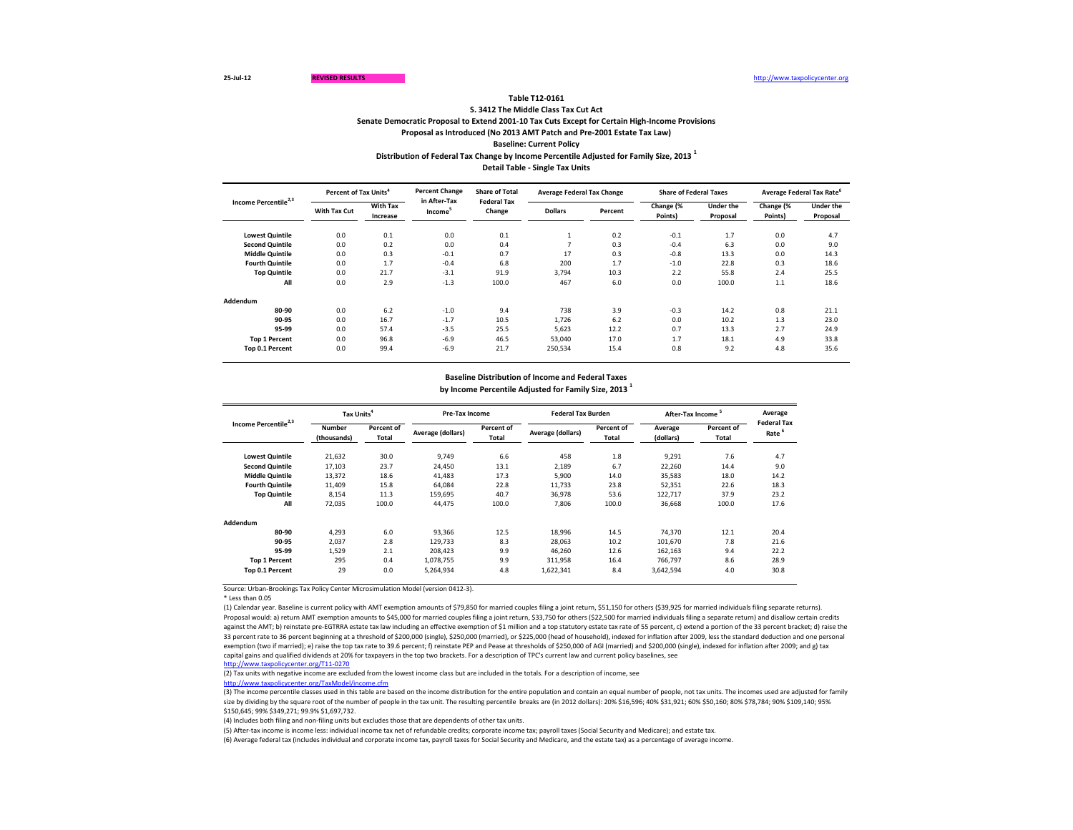| Income Percentile <sup>2,3</sup> | Percent of Tax Units <sup>4</sup> |                             | <b>Percent Change</b>               | <b>Share of Total</b><br><b>Federal Tax</b> | <b>Average Federal Tax Change</b> |         | <b>Share of Federal Taxes</b> |                              | Average Federal Tax Rate <sup>6</sup> |                              |
|----------------------------------|-----------------------------------|-----------------------------|-------------------------------------|---------------------------------------------|-----------------------------------|---------|-------------------------------|------------------------------|---------------------------------------|------------------------------|
|                                  | <b>With Tax Cut</b>               | <b>With Tax</b><br>Increase | in After-Tax<br>Income <sup>3</sup> | Change                                      | <b>Dollars</b>                    | Percent | Change (%<br>Points)          | <b>Under the</b><br>Proposal | Change (%<br>Points)                  | <b>Under the</b><br>Proposal |
| <b>Lowest Quintile</b>           | 0.0                               | 0.1                         | 0.0                                 | 0.1                                         |                                   | 0.2     | $-0.1$                        | 1.7                          | 0.0                                   | 4.7                          |
| <b>Second Quintile</b>           | 0.0                               | 0.2                         | 0.0                                 | 0.4                                         |                                   | 0.3     | $-0.4$                        | 6.3                          | 0.0                                   | 9.0                          |
| <b>Middle Quintile</b>           | 0.0                               | 0.3                         | $-0.1$                              | 0.7                                         | 17                                | 0.3     | $-0.8$                        | 13.3                         | 0.0                                   | 14.3                         |
| <b>Fourth Quintile</b>           | 0.0                               | 1.7                         | $-0.4$                              | 6.8                                         | 200                               | 1.7     | $-1.0$                        | 22.8                         | 0.3                                   | 18.6                         |
| <b>Top Quintile</b>              | 0.0                               | 21.7                        | $-3.1$                              | 91.9                                        | 3,794                             | 10.3    | 2.2                           | 55.8                         | 2.4                                   | 25.5                         |
| All                              | 0.0                               | 2.9                         | $-1.3$                              | 100.0                                       | 467                               | 6.0     | 0.0                           | 100.0                        | 1.1                                   | 18.6                         |
| <b>Addendum</b>                  |                                   |                             |                                     |                                             |                                   |         |                               |                              |                                       |                              |
| 80-90                            | 0.0                               | 6.2                         | $-1.0$                              | 9.4                                         | 738                               | 3.9     | $-0.3$                        | 14.2                         | 0.8                                   | 21.1                         |
| 90-95                            | 0.0                               | 16.7                        | $-1.7$                              | 10.5                                        | 1,726                             | 6.2     | 0.0                           | 10.2                         | 1.3                                   | 23.0                         |
| 95-99                            | 0.0                               | 57.4                        | $-3.5$                              | 25.5                                        | 5,623                             | 12.2    | 0.7                           | 13.3                         | 2.7                                   | 24.9                         |
| <b>Top 1 Percent</b>             | 0.0                               | 96.8                        | $-6.9$                              | 46.5                                        | 53,040                            | 17.0    | 1.7                           | 18.1                         | 4.9                                   | 33.8                         |
| Top 0.1 Percent                  | 0.0                               | 99.4                        | $-6.9$                              | 21.7                                        | 250,534                           | 15.4    | 0.8                           | 9.2                          | 4.8                                   | 35.6                         |

\* Less than 0.05

**Distribution of Federal Tax Change by Income Percentile Adjusted for Family Size, 2013 <sup>1</sup>**

**Detail Table - Single Tax Units**

### **Table T12-0161**

| Income Percentile <sup>2,3</sup> | Tax Units <sup>4</sup>                     |       | <b>Pre-Tax Income</b> |                            | <b>Federal Tax Burden</b> |                            | After-Tax Income <sup>5</sup> |                                   | Average                                 |
|----------------------------------|--------------------------------------------|-------|-----------------------|----------------------------|---------------------------|----------------------------|-------------------------------|-----------------------------------|-----------------------------------------|
|                                  | <b>Number</b><br>Percent of<br>(thousands) |       | Average (dollars)     | Percent of<br><b>Total</b> | <b>Average (dollars)</b>  | Percent of<br><b>Total</b> | Average<br>(dollars)          | <b>Percent of</b><br><b>Total</b> | <b>Federal Tax</b><br>Rate <sup>6</sup> |
| <b>Lowest Quintile</b>           | 21,632                                     | 30.0  | 9,749                 | 6.6                        | 458                       | 1.8                        | 9,291                         | 7.6                               | 4.7                                     |
| <b>Second Quintile</b>           | 17,103                                     | 23.7  | 24,450                | 13.1                       | 2,189                     | 6.7                        | 22,260                        | 14.4                              | 9.0                                     |
| <b>Middle Quintile</b>           | 13,372                                     | 18.6  | 41,483                | 17.3                       | 5,900                     | 14.0                       | 35,583                        | 18.0                              | 14.2                                    |
| <b>Fourth Quintile</b>           | 11,409                                     | 15.8  | 64,084                | 22.8                       | 11,733                    | 23.8                       | 52,351                        | 22.6                              | 18.3                                    |
| <b>Top Quintile</b>              | 8,154                                      | 11.3  | 159,695               | 40.7                       | 36,978                    | 53.6                       | 122,717                       | 37.9                              | 23.2                                    |
| All                              | 72,035                                     | 100.0 | 44,475                | 100.0                      | 7,806                     | 100.0                      | 36,668                        | 100.0                             | 17.6                                    |
| Addendum                         |                                            |       |                       |                            |                           |                            |                               |                                   |                                         |
| 80-90                            | 4,293                                      | 6.0   | 93,366                | 12.5                       | 18,996                    | 14.5                       | 74,370                        | 12.1                              | 20.4                                    |
| 90-95                            | 2,037                                      | 2.8   | 129,733               | 8.3                        | 28,063                    | 10.2                       | 101,670                       | 7.8                               | 21.6                                    |
| 95-99                            | 1,529                                      | 2.1   | 208,423               | 9.9                        | 46,260                    | 12.6                       | 162,163                       | 9.4                               | 22.2                                    |
| <b>Top 1 Percent</b>             | 295                                        | 0.4   | 1,078,755             | 9.9                        | 311,958                   | 16.4                       | 766,797                       | 8.6                               | 28.9                                    |
| Top 0.1 Percent                  | 29                                         | 0.0   | 5,264,934             | 4.8                        | 1,622,341                 | 8.4                        | 3,642,594                     | 4.0                               | 30.8                                    |

**S. 3412 The Middle Class Tax Cut Act**

**Senate Democratic Proposal to Extend 2001-10 Tax Cuts Except for Certain High-Income Provisions**

**Proposal as Introduced (No 2013 AMT Patch and Pre-2001 Estate Tax Law)**

**Baseline: Current Policy**

# **Baseline Distribution of Income and Federal Taxes by Income Percentile Adjusted for Family Size, 2013 <sup>1</sup>**

(3) The income percentile classes used in this table are based on the income distribution for the entire population and contain an equal number of people, not tax units. The incomes used are adjusted for family size by dividing by the square root of the number of people in the tax unit. The resulting percentile breaks are (in 2012 dollars): 20% \$16,596; 40% \$10,921; 60% \$50,160; 80% \$78,784; 90% \$109,140; 95% \$150,645; 99% \$349,271; 99.9% \$1,697,732.

(5) After-tax income is income less: individual income tax net of refundable credits; corporate income tax; payroll taxes (Social Security and Medicare); and estate tax. (6) Average federal tax (includes individual and corporate income tax, payroll taxes for Social Security and Medicare, and the estate tax) as a percentage of average income.

(1) Calendar year. Baseline is current policy with AMT exemption amounts of \$79,850 for married couples filing a joint return, \$51,150 for others (\$39,925 for married individuals filing separate returns). Proposal would: a) return AMT exemption amounts to \$45,000 for married couples filing a joint return, \$33,750 for others (\$22,500 for married individuals filing a separate return) and disallow certain credits against the AMT; b) reinstate pre-EGTRRA estate tax law including an effective exemption of \$1 million and a top statutory estate tax rate of 55 percent, c) extend a portion of the 33 percent bracket; d) raise the 33 percent rate to 36 percent beginning at a threshold of \$200,000 (single), \$250,000 (married), or \$225,000 (head of household), indexed for inflation after 2009, less the standard deduction and one personal exemption (two if married); e) raise the top tax rate to 39.6 percent; f) reinstate PEP and Pease at thresholds of \$250,000 of AGI (married) and \$200,000 (single), indexed for inflation after 2009; and g) tax capital gains and qualified dividends at 20% for taxpayers in the top two brackets. For a description of TPC's current law and current policy baselines, see [http://www.taxpolicycente](http://www.taxpolicycenter.org/T11-0270)r.org/T11-0270

(2) Tax units with negative income are excluded from the lowest income class but are included in the totals. For a description of income, see [http://www.taxpolicycente](http://www.taxpolicycenter.org/TaxModel/income.cfm)r.org/TaxModel/income.cfm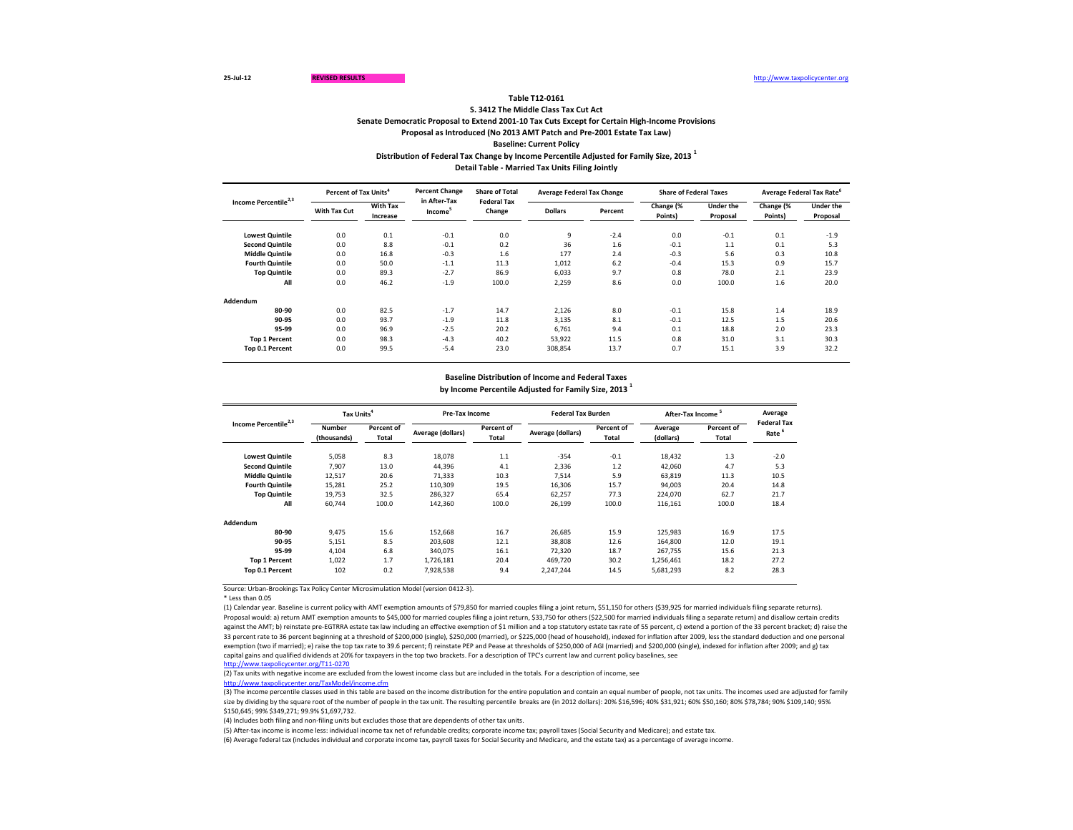|                                  |                     | Percent of Tax Units <sup>4</sup> |                                     | <b>Share of Total</b><br><b>Federal Tax</b> | <b>Average Federal Tax Change</b> |         | <b>Share of Federal Taxes</b> |                              |                      | Average Federal Tax Rate <sup>6</sup> |
|----------------------------------|---------------------|-----------------------------------|-------------------------------------|---------------------------------------------|-----------------------------------|---------|-------------------------------|------------------------------|----------------------|---------------------------------------|
| Income Percentile <sup>2,3</sup> | <b>With Tax Cut</b> | <b>With Tax</b><br>Increase       | in After-Tax<br>Income <sup>3</sup> | Change                                      | <b>Dollars</b>                    | Percent | Change (%<br>Points)          | <b>Under the</b><br>Proposal | Change (%<br>Points) | <b>Under the</b><br>Proposal          |
| <b>Lowest Quintile</b>           | 0.0                 | 0.1                               | $-0.1$                              | 0.0                                         | 9                                 | $-2.4$  | 0.0                           | $-0.1$                       | 0.1                  | $-1.9$                                |
| <b>Second Quintile</b>           | 0.0                 | 8.8                               | $-0.1$                              | 0.2                                         | 36                                | 1.6     | $-0.1$                        | 1.1                          | 0.1                  | 5.3                                   |
| <b>Middle Quintile</b>           | 0.0                 | 16.8                              | $-0.3$                              | 1.6                                         | 177                               | 2.4     | $-0.3$                        | 5.6                          | 0.3                  | 10.8                                  |
| <b>Fourth Quintile</b>           | 0.0                 | 50.0                              | $-1.1$                              | 11.3                                        | 1,012                             | 6.2     | $-0.4$                        | 15.3                         | 0.9                  | 15.7                                  |
| <b>Top Quintile</b>              | 0.0                 | 89.3                              | $-2.7$                              | 86.9                                        | 6,033                             | 9.7     | 0.8                           | 78.0                         | 2.1                  | 23.9                                  |
| All                              | 0.0                 | 46.2                              | $-1.9$                              | 100.0                                       | 2,259                             | 8.6     | 0.0                           | 100.0                        | 1.6                  | 20.0                                  |
| <b>Addendum</b>                  |                     |                                   |                                     |                                             |                                   |         |                               |                              |                      |                                       |
| 80-90                            | 0.0                 | 82.5                              | $-1.7$                              | 14.7                                        | 2,126                             | 8.0     | $-0.1$                        | 15.8                         | 1.4                  | 18.9                                  |
| 90-95                            | 0.0                 | 93.7                              | $-1.9$                              | 11.8                                        | 3,135                             | 8.1     | $-0.1$                        | 12.5                         | 1.5                  | 20.6                                  |
| 95-99                            | 0.0                 | 96.9                              | $-2.5$                              | 20.2                                        | 6,761                             | 9.4     | 0.1                           | 18.8                         | 2.0                  | 23.3                                  |
| <b>Top 1 Percent</b>             | 0.0                 | 98.3                              | $-4.3$                              | 40.2                                        | 53,922                            | 11.5    | 0.8                           | 31.0                         | 3.1                  | 30.3                                  |
| Top 0.1 Percent                  | 0.0                 | 99.5                              | $-5.4$                              | 23.0                                        | 308,854                           | 13.7    | 0.7                           | 15.1                         | 3.9                  | 32.2                                  |

\* Less than 0.05

**Distribution of Federal Tax Change by Income Percentile Adjusted for Family Size, 2013 <sup>1</sup>**

**Detail Table - Married Tax Units Filing Jointly**

| Income Percentile <sup>2,3</sup> | Tax Units <sup>4</sup>                                     |       | <b>Pre-Tax Income</b>    |                            | <b>Federal Tax Burden</b> |                            | After-Tax Income <sup>5</sup> |                            | Average<br><b>Federal Tax</b> |
|----------------------------------|------------------------------------------------------------|-------|--------------------------|----------------------------|---------------------------|----------------------------|-------------------------------|----------------------------|-------------------------------|
|                                  | <b>Percent of</b><br><b>Number</b><br>Total<br>(thousands) |       | <b>Average (dollars)</b> | Percent of<br><b>Total</b> | Average (dollars)         | Percent of<br><b>Total</b> | Average<br>(dollars)          | <b>Percent of</b><br>Total | Rate <sup>6</sup>             |
| <b>Lowest Quintile</b>           | 5,058                                                      | 8.3   | 18,078                   | 1.1                        | $-354$                    | $-0.1$                     | 18,432                        | 1.3                        | $-2.0$                        |
| <b>Second Quintile</b>           | 7,907                                                      | 13.0  | 44,396                   | 4.1                        | 2,336                     | 1.2                        | 42,060                        | 4.7                        | 5.3                           |
| <b>Middle Quintile</b>           | 12,517                                                     | 20.6  | 71,333                   | 10.3                       | 7,514                     | 5.9                        | 63,819                        | 11.3                       | 10.5                          |
| <b>Fourth Quintile</b>           | 15,281                                                     | 25.2  | 110,309                  | 19.5                       | 16,306                    | 15.7                       | 94,003                        | 20.4                       | 14.8                          |
| <b>Top Quintile</b>              | 19,753                                                     | 32.5  | 286,327                  | 65.4                       | 62,257                    | 77.3                       | 224,070                       | 62.7                       | 21.7                          |
| All                              | 60,744                                                     | 100.0 | 142,360                  | 100.0                      | 26,199                    | 100.0                      | 116,161                       | 100.0                      | 18.4                          |
| Addendum                         |                                                            |       |                          |                            |                           |                            |                               |                            |                               |
| 80-90                            | 9,475                                                      | 15.6  | 152,668                  | 16.7                       | 26,685                    | 15.9                       | 125,983                       | 16.9                       | 17.5                          |
| 90-95                            | 5,151                                                      | 8.5   | 203,608                  | 12.1                       | 38,808                    | 12.6                       | 164,800                       | 12.0                       | 19.1                          |
| 95-99                            | 4,104                                                      | 6.8   | 340,075                  | 16.1                       | 72,320                    | 18.7                       | 267,755                       | 15.6                       | 21.3                          |
| <b>Top 1 Percent</b>             | 1,022                                                      | 1.7   | 1,726,181                | 20.4                       | 469,720                   | 30.2                       | 1,256,461                     | 18.2                       | 27.2                          |
| Top 0.1 Percent                  | 102                                                        | 0.2   | 7,928,538                | 9.4                        | 2,247,244                 | 14.5                       | 5,681,293                     | 8.2                        | 28.3                          |

### **Table T12-0161**

**S. 3412 The Middle Class Tax Cut Act**

**Senate Democratic Proposal to Extend 2001-10 Tax Cuts Except for Certain High-Income Provisions**

**Proposal as Introduced (No 2013 AMT Patch and Pre-2001 Estate Tax Law)**

**Baseline: Current Policy**

# **Baseline Distribution of Income and Federal Taxes by Income Percentile Adjusted for Family Size, 2013 <sup>1</sup>**

(3) The income percentile classes used in this table are based on the income distribution for the entire population and contain an equal number of people, not tax units. The incomes used are adjusted for family size by dividing by the square root of the number of people in the tax unit. The resulting percentile breaks are (in 2012 dollars): 20% \$16,596; 40% \$10,921; 60% \$50,160; 80% \$78,784; 90% \$109,140; 95% \$150,645; 99% \$349,271; 99.9% \$1,697,732.

(5) After-tax income is income less: individual income tax net of refundable credits; corporate income tax; payroll taxes (Social Security and Medicare); and estate tax. (6) Average federal tax (includes individual and corporate income tax, payroll taxes for Social Security and Medicare, and the estate tax) as a percentage of average income.

(1) Calendar year. Baseline is current policy with AMT exemption amounts of \$79,850 for married couples filing a joint return, \$51,150 for others (\$39,925 for married individuals filing separate returns). Proposal would: a) return AMT exemption amounts to \$45,000 for married couples filing a joint return, \$33,750 for others (\$22,500 for married individuals filing a separate return) and disallow certain credits against the AMT; b) reinstate pre-EGTRRA estate tax law including an effective exemption of \$1 million and a top statutory estate tax rate of 55 percent, c) extend a portion of the 33 percent bracket; d) raise the 33 percent rate to 36 percent beginning at a threshold of \$200,000 (single), \$250,000 (married), or \$225,000 (head of household), indexed for inflation after 2009, less the standard deduction and one personal exemption (two if married); e) raise the top tax rate to 39.6 percent; f) reinstate PEP and Pease at thresholds of \$250,000 of AGI (married) and \$200,000 (single), indexed for inflation after 2009; and g) tax capital gains and qualified dividends at 20% for taxpayers in the top two brackets. For a description of TPC's current law and current policy baselines, see [http://www.taxpolicycente](http://www.taxpolicycenter.org/T11-0270)r.org/T11-0270

(2) Tax units with negative income are excluded from the lowest income class but are included in the totals. For a description of income, see [http://www.taxpolicycente](http://www.taxpolicycenter.org/TaxModel/income.cfm)r.org/TaxModel/income.cfm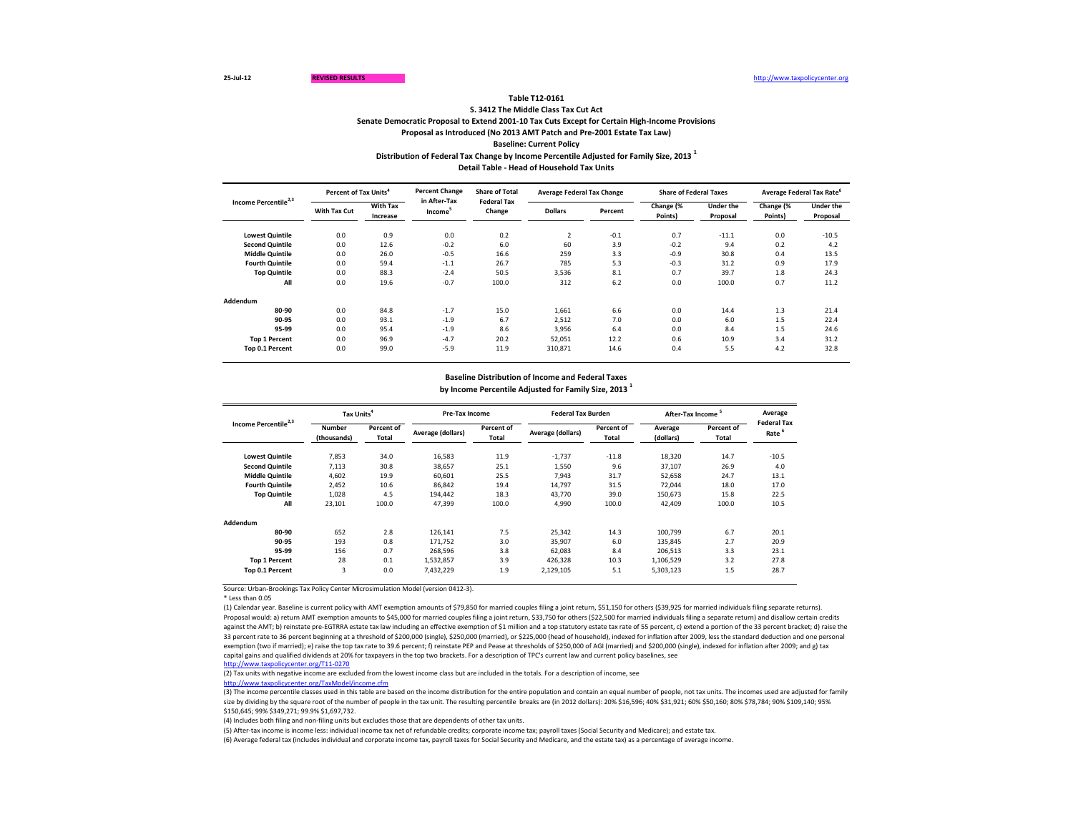|                                  |                     | Percent of Tax Units <sup>4</sup> |                                     | <b>Percent Change</b><br><b>Share of Total</b> | <b>Average Federal Tax Change</b> |         | <b>Share of Federal Taxes</b> |                              | <b>Average Federal Tax Rate<sup>°</sup></b> |                              |
|----------------------------------|---------------------|-----------------------------------|-------------------------------------|------------------------------------------------|-----------------------------------|---------|-------------------------------|------------------------------|---------------------------------------------|------------------------------|
| Income Percentile <sup>2,3</sup> | <b>With Tax Cut</b> | <b>With Tax</b><br>Increase       | in After-Tax<br>Income <sup>3</sup> | <b>Federal Tax</b><br>Change                   | <b>Dollars</b>                    | Percent | Change (%<br>Points)          | <b>Under the</b><br>Proposal | Change (%<br>Points)                        | <b>Under the</b><br>Proposal |
| <b>Lowest Quintile</b>           | 0.0                 | 0.9                               | 0.0                                 | 0.2                                            | 2                                 | $-0.1$  | 0.7                           | $-11.1$                      | 0.0                                         | $-10.5$                      |
| <b>Second Quintile</b>           | 0.0                 | 12.6                              | $-0.2$                              | 6.0                                            | 60                                | 3.9     | $-0.2$                        | 9.4                          | 0.2                                         | 4.2                          |
| <b>Middle Quintile</b>           | 0.0                 | 26.0                              | $-0.5$                              | 16.6                                           | 259                               | 3.3     | $-0.9$                        | 30.8                         | 0.4                                         | 13.5                         |
| <b>Fourth Quintile</b>           | 0.0                 | 59.4                              | $-1.1$                              | 26.7                                           | 785                               | 5.3     | $-0.3$                        | 31.2                         | 0.9                                         | 17.9                         |
| <b>Top Quintile</b>              | 0.0                 | 88.3                              | $-2.4$                              | 50.5                                           | 3,536                             | 8.1     | 0.7                           | 39.7                         | 1.8                                         | 24.3                         |
| All                              | 0.0                 | 19.6                              | $-0.7$                              | 100.0                                          | 312                               | 6.2     | 0.0                           | 100.0                        | 0.7                                         | 11.2                         |
| <b>Addendum</b>                  |                     |                                   |                                     |                                                |                                   |         |                               |                              |                                             |                              |
| 80-90                            | 0.0                 | 84.8                              | $-1.7$                              | 15.0                                           | 1,661                             | 6.6     | 0.0                           | 14.4                         | 1.3                                         | 21.4                         |
| 90-95                            | 0.0                 | 93.1                              | $-1.9$                              | 6.7                                            | 2,512                             | 7.0     | 0.0                           | 6.0                          | 1.5                                         | 22.4                         |
| 95-99                            | 0.0                 | 95.4                              | $-1.9$                              | 8.6                                            | 3,956                             | 6.4     | 0.0                           | 8.4                          | 1.5                                         | 24.6                         |
| <b>Top 1 Percent</b>             | 0.0                 | 96.9                              | $-4.7$                              | 20.2                                           | 52,051                            | 12.2    | 0.6                           | 10.9                         | 3.4                                         | 31.2                         |
| Top 0.1 Percent                  | 0.0                 | 99.0                              | $-5.9$                              | 11.9                                           | 310,871                           | 14.6    | 0.4                           | 5.5                          | 4.2                                         | 32.8                         |

\* Less than 0.05

**Distribution of Federal Tax Change by Income Percentile Adjusted for Family Size, 2013 <sup>1</sup>**

**Detail Table - Head of Household Tax Units**

### **Table T12-0161**

| Income Percentile <sup>2,3</sup> | Tax Units <sup>4</sup>                                            |       | <b>Pre-Tax Income</b> |                            | <b>Federal Tax Burden</b> |                                   | After-Tax Income <sup>5</sup> |                                   | Average                                 |
|----------------------------------|-------------------------------------------------------------------|-------|-----------------------|----------------------------|---------------------------|-----------------------------------|-------------------------------|-----------------------------------|-----------------------------------------|
|                                  | <b>Percent of</b><br><b>Number</b><br>(thousands)<br><b>Total</b> |       | Average (dollars)     | Percent of<br><b>Total</b> | Average (dollars)         | <b>Percent of</b><br><b>Total</b> | Average<br>(dollars)          | <b>Percent of</b><br><b>Total</b> | <b>Federal Tax</b><br>Rate <sup>6</sup> |
| <b>Lowest Quintile</b>           | 7,853                                                             | 34.0  | 16,583                | 11.9                       | $-1,737$                  | $-11.8$                           | 18,320                        | 14.7                              | $-10.5$                                 |
| <b>Second Quintile</b>           | 7,113                                                             | 30.8  | 38,657                | 25.1                       | 1,550                     | 9.6                               | 37,107                        | 26.9                              | 4.0                                     |
| <b>Middle Quintile</b>           | 4,602                                                             | 19.9  | 60,601                | 25.5                       | 7,943                     | 31.7                              | 52,658                        | 24.7                              | 13.1                                    |
| <b>Fourth Quintile</b>           | 2,452                                                             | 10.6  | 86,842                | 19.4                       | 14,797                    | 31.5                              | 72,044                        | 18.0                              | 17.0                                    |
| <b>Top Quintile</b>              | 1,028                                                             | 4.5   | 194,442               | 18.3                       | 43,770                    | 39.0                              | 150,673                       | 15.8                              | 22.5                                    |
| All                              | 23,101                                                            | 100.0 | 47,399                | 100.0                      | 4,990                     | 100.0                             | 42,409                        | 100.0                             | 10.5                                    |
| Addendum                         |                                                                   |       |                       |                            |                           |                                   |                               |                                   |                                         |
| 80-90                            | 652                                                               | 2.8   | 126,141               | 7.5                        | 25,342                    | 14.3                              | 100,799                       | 6.7                               | 20.1                                    |
| 90-95                            | 193                                                               | 0.8   | 171,752               | 3.0                        | 35,907                    | 6.0                               | 135,845                       | 2.7                               | 20.9                                    |
| 95-99                            | 156                                                               | 0.7   | 268,596               | 3.8                        | 62,083                    | 8.4                               | 206,513                       | 3.3                               | 23.1                                    |
| <b>Top 1 Percent</b>             | 28                                                                | 0.1   | 1,532,857             | 3.9                        | 426,328                   | 10.3                              | 1,106,529                     | 3.2                               | 27.8                                    |
| Top 0.1 Percent                  | 3                                                                 | 0.0   | 7,432,229             | 1.9                        | 2,129,105                 | 5.1                               | 5,303,123                     | 1.5                               | 28.7                                    |

**S. 3412 The Middle Class Tax Cut Act**

**Senate Democratic Proposal to Extend 2001-10 Tax Cuts Except for Certain High-Income Provisions**

**Proposal as Introduced (No 2013 AMT Patch and Pre-2001 Estate Tax Law)**

**Baseline: Current Policy**

# **Baseline Distribution of Income and Federal Taxes by Income Percentile Adjusted for Family Size, 2013 <sup>1</sup>**

(3) The income percentile classes used in this table are based on the income distribution for the entire population and contain an equal number of people, not tax units. The incomes used are adjusted for family size by dividing by the square root of the number of people in the tax unit. The resulting percentile breaks are (in 2012 dollars): 20% \$16,596; 40% \$10,921; 60% \$50,160; 80% \$78,784; 90% \$109,140; 95% \$150,645; 99% \$349,271; 99.9% \$1,697,732.

(5) After-tax income is income less: individual income tax net of refundable credits; corporate income tax; payroll taxes (Social Security and Medicare); and estate tax. (6) Average federal tax (includes individual and corporate income tax, payroll taxes for Social Security and Medicare, and the estate tax) as a percentage of average income.

(1) Calendar year. Baseline is current policy with AMT exemption amounts of \$79,850 for married couples filing a joint return, \$51,150 for others (\$39,925 for married individuals filing separate returns). Proposal would: a) return AMT exemption amounts to \$45,000 for married couples filing a joint return, \$33,750 for others (\$22,500 for married individuals filing a separate return) and disallow certain credits against the AMT; b) reinstate pre-EGTRRA estate tax law including an effective exemption of \$1 million and a top statutory estate tax rate of 55 percent, c) extend a portion of the 33 percent bracket; d) raise the 33 percent rate to 36 percent beginning at a threshold of \$200,000 (single), \$250,000 (married), or \$225,000 (head of household), indexed for inflation after 2009, less the standard deduction and one personal exemption (two if married); e) raise the top tax rate to 39.6 percent; f) reinstate PEP and Pease at thresholds of \$250,000 of AGI (married) and \$200,000 (single), indexed for inflation after 2009; and g) tax capital gains and qualified dividends at 20% for taxpayers in the top two brackets. For a description of TPC's current law and current policy baselines, see [http://www.taxpolicycente](http://www.taxpolicycenter.org/T11-0270)r.org/T11-0270

(2) Tax units with negative income are excluded from the lowest income class but are included in the totals. For a description of income, see [http://www.taxpolicycente](http://www.taxpolicycenter.org/TaxModel/income.cfm)r.org/TaxModel/income.cfm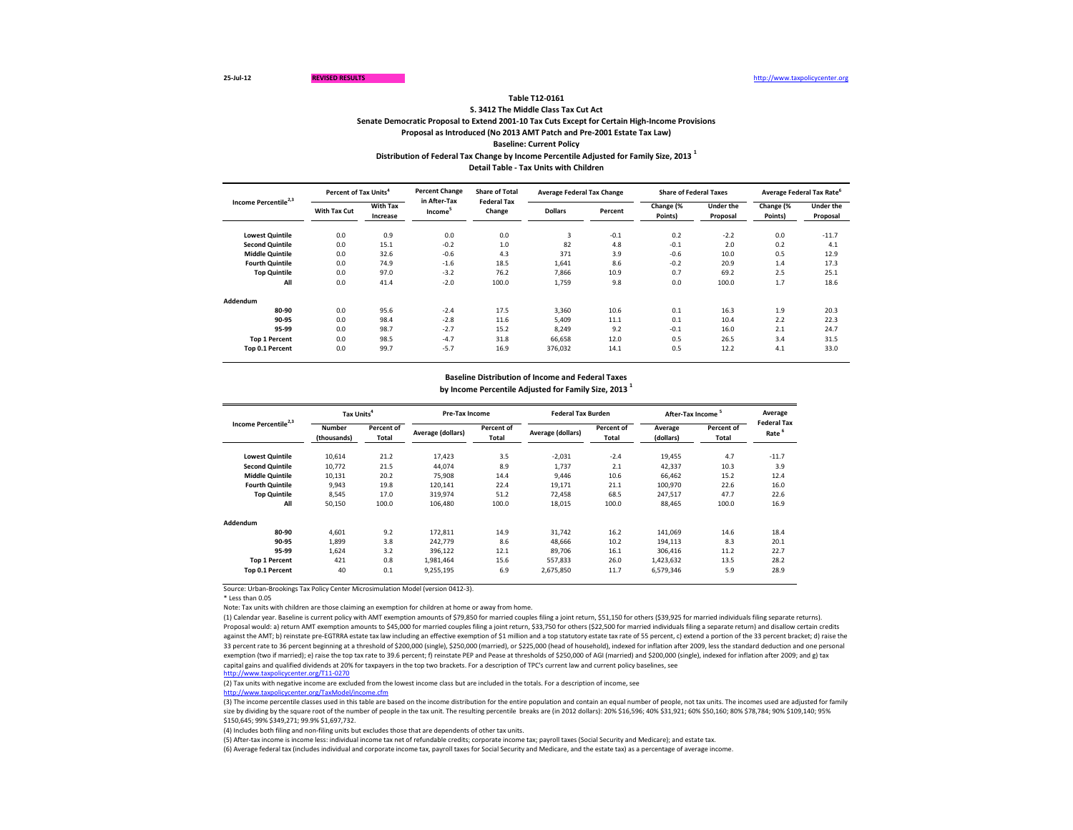|                                  |                     | Percent of Tax Units <sup>4</sup> |                                     | <b>Percent Change</b><br><b>Share of Total</b><br><b>Federal Tax</b> | <b>Average Federal Tax Change</b> |         | <b>Share of Federal Taxes</b> |                              |                      | <b>Average Federal Tax Rate<sup>°</sup></b> |
|----------------------------------|---------------------|-----------------------------------|-------------------------------------|----------------------------------------------------------------------|-----------------------------------|---------|-------------------------------|------------------------------|----------------------|---------------------------------------------|
| Income Percentile <sup>2,3</sup> | <b>With Tax Cut</b> | <b>With Tax</b><br>Increase       | in After-Tax<br>Income <sup>3</sup> | Change                                                               | <b>Dollars</b>                    | Percent | Change (%<br>Points)          | <b>Under the</b><br>Proposal | Change (%<br>Points) | <b>Under the</b><br>Proposal                |
| <b>Lowest Quintile</b>           | 0.0                 | 0.9                               | 0.0                                 | 0.0                                                                  | 3                                 | $-0.1$  | 0.2                           | $-2.2$                       | 0.0                  | $-11.7$                                     |
| <b>Second Quintile</b>           | 0.0                 | 15.1                              | $-0.2$                              | $1.0$                                                                | 82                                | 4.8     | $-0.1$                        | 2.0                          | 0.2                  | 4.1                                         |
| <b>Middle Quintile</b>           | 0.0                 | 32.6                              | $-0.6$                              | 4.3                                                                  | 371                               | 3.9     | $-0.6$                        | 10.0                         | 0.5                  | 12.9                                        |
| <b>Fourth Quintile</b>           | 0.0                 | 74.9                              | $-1.6$                              | 18.5                                                                 | 1,641                             | 8.6     | $-0.2$                        | 20.9                         | 1.4                  | 17.3                                        |
| <b>Top Quintile</b>              | 0.0                 | 97.0                              | $-3.2$                              | 76.2                                                                 | 7,866                             | 10.9    | 0.7                           | 69.2                         | 2.5                  | 25.1                                        |
| All                              | 0.0                 | 41.4                              | $-2.0$                              | 100.0                                                                | 1,759                             | 9.8     | 0.0                           | 100.0                        | 1.7                  | 18.6                                        |
| <b>Addendum</b>                  |                     |                                   |                                     |                                                                      |                                   |         |                               |                              |                      |                                             |
| 80-90                            | 0.0                 | 95.6                              | $-2.4$                              | 17.5                                                                 | 3,360                             | 10.6    | 0.1                           | 16.3                         | 1.9                  | 20.3                                        |
| 90-95                            | 0.0                 | 98.4                              | $-2.8$                              | 11.6                                                                 | 5,409                             | 11.1    | 0.1                           | 10.4                         | 2.2                  | 22.3                                        |
| 95-99                            | 0.0                 | 98.7                              | $-2.7$                              | 15.2                                                                 | 8,249                             | 9.2     | $-0.1$                        | 16.0                         | 2.1                  | 24.7                                        |
| <b>Top 1 Percent</b>             | 0.0                 | 98.5                              | $-4.7$                              | 31.8                                                                 | 66,658                            | 12.0    | 0.5                           | 26.5                         | 3.4                  | 31.5                                        |
| Top 0.1 Percent                  | 0.0                 | 99.7                              | $-5.7$                              | 16.9                                                                 | 376,032                           | 14.1    | 0.5                           | 12.2                         | 4.1                  | 33.0                                        |

\* Less than 0.05

Note: Tax units with children are those claiming an exemption for children at home or away from home.

**Distribution of Federal Tax Change by Income Percentile Adjusted for Family Size, 2013 <sup>1</sup>**

| Income Percentile <sup>2,3</sup> | Tax Units <sup>4</sup>       |                     | <b>Pre-Tax Income</b> |                            | <b>Federal Tax Burden</b> |                            | After-Tax Income <sup>5</sup> |                     | Average                                 |
|----------------------------------|------------------------------|---------------------|-----------------------|----------------------------|---------------------------|----------------------------|-------------------------------|---------------------|-----------------------------------------|
|                                  | <b>Number</b><br>(thousands) | Percent of<br>Total | Average (dollars)     | Percent of<br><b>Total</b> | Average (dollars)         | Percent of<br><b>Total</b> | Average<br>(dollars)          | Percent of<br>Total | <b>Federal Tax</b><br>Rate <sup>6</sup> |
| <b>Lowest Quintile</b>           | 10,614                       | 21.2                | 17,423                | 3.5                        | $-2,031$                  | $-2.4$                     | 19,455                        | 4.7                 | $-11.7$                                 |
| <b>Second Quintile</b>           | 10,772                       | 21.5                | 44,074                | 8.9                        | 1,737                     | 2.1                        | 42,337                        | 10.3                | 3.9                                     |
| <b>Middle Quintile</b>           | 10,131                       | 20.2                | 75,908                | 14.4                       | 9,446                     | 10.6                       | 66,462                        | 15.2                | 12.4                                    |
| <b>Fourth Quintile</b>           | 9,943                        | 19.8                | 120,141               | 22.4                       | 19,171                    | 21.1                       | 100,970                       | 22.6                | 16.0                                    |
| <b>Top Quintile</b>              | 8,545                        | 17.0                | 319,974               | 51.2                       | 72,458                    | 68.5                       | 247,517                       | 47.7                | 22.6                                    |
| All                              | 50,150                       | 100.0               | 106,480               | 100.0                      | 18,015                    | 100.0                      | 88,465                        | 100.0               | 16.9                                    |
| Addendum                         |                              |                     |                       |                            |                           |                            |                               |                     |                                         |
| 80-90                            | 4,601                        | 9.2                 | 172,811               | 14.9                       | 31,742                    | 16.2                       | 141,069                       | 14.6                | 18.4                                    |
| 90-95                            | 1,899                        | 3.8                 | 242,779               | 8.6                        | 48,666                    | 10.2                       | 194,113                       | 8.3                 | 20.1                                    |
| 95-99                            | 1,624                        | 3.2                 | 396,122               | 12.1                       | 89,706                    | 16.1                       | 306,416                       | 11.2                | 22.7                                    |
| <b>Top 1 Percent</b>             | 421                          | 0.8                 | 1,981,464             | 15.6                       | 557,833                   | 26.0                       | 1,423,632                     | 13.5                | 28.2                                    |
| Top 0.1 Percent                  | 40                           | 0.1                 | 9,255,195             | 6.9                        | 2,675,850                 | 11.7                       | 6,579,346                     | 5.9                 | 28.9                                    |

**Detail Table - Tax Units with Children**

### **Table T12-0161**

**S. 3412 The Middle Class Tax Cut Act**

**Senate Democratic Proposal to Extend 2001-10 Tax Cuts Except for Certain High-Income Provisions**

**Proposal as Introduced (No 2013 AMT Patch and Pre-2001 Estate Tax Law)**

**Baseline: Current Policy**

# **Baseline Distribution of Income and Federal Taxes by Income Percentile Adjusted for Family Size, 2013 <sup>1</sup>**

(5) After-tax income is income less: individual income tax net of refundable credits; corporate income tax; payroll taxes (Social Security and Medicare); and estate tax. (6) Average federal tax (includes individual and corporate income tax, payroll taxes for Social Security and Medicare, and the estate tax) as a percentage of average income.

(1) Calendar year. Baseline is current policy with AMT exemption amounts of \$79,850 for married couples filing a joint return, \$51,150 for others (\$39,925 for married individuals filing separate returns). Proposal would: a) return AMT exemption amounts to \$45,000 for married couples filing a joint return, \$33,750 for others (\$22,500 for married individuals filing a separate return) and disallow certain credits against the AMT; b) reinstate pre-EGTRRA estate tax law including an effective exemption of \$1 million and a top statutory estate tax rate of 55 percent, c) extend a portion of the 33 percent bracket; d) raise the 33 percent rate to 36 percent beginning at a threshold of \$200,000 (single), \$250,000 (married), or \$225,000 (head of household), indexed for inflation after 2009, less the standard deduction and one personal exemption (two if married); e) raise the top tax rate to 39.6 percent; f) reinstate PEP and Pease at thresholds of \$250,000 of AGI (married) and \$200,000 (single), indexed for inflation after 2009; and g) tax capital gains and qualified dividends at 20% for taxpayers in the top two brackets. For a description of TPC's current law and current policy baselines, see [http://www.taxpolicycente](http://www.taxpolicycenter.org/T11-0270)r.org/T11-0270

(2) Tax units with negative income are excluded from the lowest income class but are included in the totals. For a description of income, see [http://www.taxpolicycente](http://www.taxpolicycenter.org/TaxModel/income.cfm)r.org/TaxModel/income.cfm

(3) The income percentile classes used in this table are based on the income distribution for the entire population and contain an equal number of people, not tax units. The incomes used are adjusted for family size by dividing by the square root of the number of people in the tax unit. The resulting percentile breaks are (in 2012 dollars): 20% \$16,596; 40% \$31,921; 60% \$50,160; 80% \$78,784; 90% \$109,140; 95% \$150,645; 99% \$349,271; 99.9% \$1,697,732.